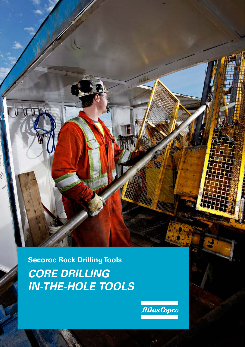**Secoroc Rock Drilling Tools** *CORE DRILLING IN-THE-HOLE TOOLS*

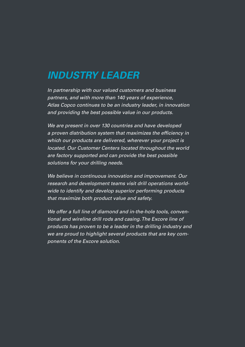### *INDUSTRY LEADER*

*In partnership with our valued customers and business partners, and with more than 140 years of experience, Atlas Copco continues to be an industry leader, in innovation and providing the best possible value in our products.* 

*We are present in over 130 countries and have developed a proven distribution system that maximizes the efficiency in which our products are delivered, wherever your project is located. Our Customer Centers located throughout the world are factory supported and can provide the best possible solutions for your drilling needs.*

*We believe in continuous innovation and improvement. Our research and development teams visit drill operations worldwide to identify and develop superior performing products that maximize both product value and safety.*

*We offer a full line of diamond and in-the-hole tools, conventional and wireline drill rods and casing. The Excore line of products has proven to be a leader in the drilling industry and we are proud to highlight several products that are key components of the Excore solution.*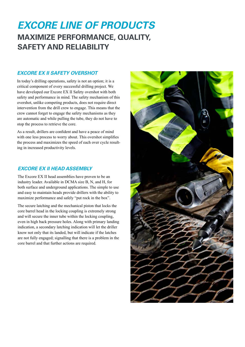### *EXCORE LINE OF PRODUCTS* **MAXIMIZE PERFORMANCE, QUALITY, SAFETY AND RELIABILITY**

#### *EXCORE EX II SAFETY OVERSHOT*

In today's drilling operations, safety is not an option; it is a critical component of every successful drilling project. We have developed our Excore EX II Safety overshot with both safety and performance in mind. The safety mechanism of this overshot, unlike competing products, does not require direct intervention from the drill crew to engage. This means that the crew cannot forget to engage the safety mechanisms as they are automatic and while pulling the tube, they do not have to stop the process to retrieve the core.

As a result, drillers are confident and have a peace of mind with one less process to worry about. This overshot simplifies the process and maximizes the speed of each over cycle resulting in increased productivity levels.

#### *EXCORE EX II HEAD ASSEMBLY*

The Excore EX II head assemblies have proven to be an industry leader. Available in DCMA size B, N, and H, for both surface and underground applications. The simple to use and easy to maintain heads provide drillers with the ability to maximize performance and safely "put rock in the box".

The secure latching and the mechanical piston that locks the core barrel head in the locking coupling is extremely strong and will secure the inner tube within the locking coupling, even in high back pressure holes. Along with primary landing indication, a secondary latching indication will let the driller know not only that its landed, but will indicate if the latches are not fully engaged; signalling that there is a problem in the core barrel and that further actions are required.

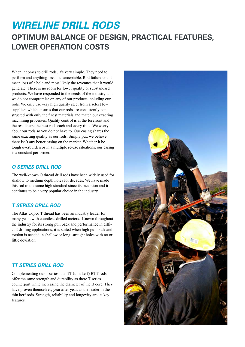### *WIRELINE DRILL RODS* **OPTIMUM BALANCE OF DESIGN, PRACTICAL FEATURES, LOWER OPERATION COSTS**

When it comes to drill rods, it's very simple. They need to perform and anything less is unacceptable. Rod failure could mean loss of a hole and most likely the revenues that it would generate. There is no room for lower quality or substandard products. We have responded to the needs of the industry and we do not compromise on any of our products including our rods. We only use very high quality steel from a select few suppliers which ensures that our rods are consistently constructed with only the finest materials and match our exacting machining processes. Quality control is at the forefront and the results are the best rods each and every time. We worry about our rods so you do not have to. Our casing shares the same exacting quality as our rods. Simply put, we believe there isn't any better casing on the market. Whether it be tough overburden or in a multiple re-use situations, our casing is a constant performer.

#### *O SERIES DRILL ROD*

The well-known O thread drill rods have been widely used for shallow to medium depth holes for decades. We have made this rod to the same high standard since its inception and it continues to be a very popular choice in the industry.

#### *T SERIES DRILL ROD*

The Atlas Copco T thread has been an industry leader for many years with countless drilled meters. Known throughout the industry for its strong pull back and performance in difficult drilling applications, it is suited when high pull back and torsion is needed in shallow or long, straight holes with no or little deviation.

#### *TT SERIES DRILL ROD*

Complementing our T series, our TT (thin kerf) BTT rods offer the same strength and durability as there T series counterpart while increasing the diameter of the B core. They have proven themselves, year after year, as the leader in the thin kerf rods. Strength, reliability and longevity are its key features.

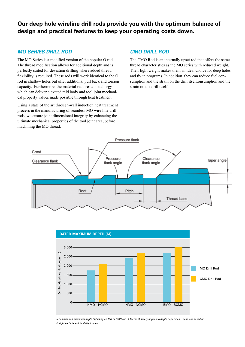#### **Our deep hole wireline drill rods provide you with the optimum balance of design and practical features to keep your operating costs down.**

#### *MO SERIES DRILL ROD*

The MO Series is a modified version of the popular O rod. The thread modification allows for additional depth and is perfectly suited for deviation drilling where added thread flexibility is required. These rods will work identical to the O rod in shallow holes but offer additional pull back and torsion capacity. Furthermore, the material requires a metallurgy which can deliver elevated mid body and tool joint mechanical property values made possible through heat treatment.

Using a state of the art through-wall induction heat treatment process in the manufacturing of seamless MO wire line drill rods, we ensure joint dimensional integrity by enhancing the ultimate mechanical properties of the tool joint area, before machining the MO thread.

#### *CMO DRILL ROD*

The CMO Rod is an internally upset rod that offers the same thread characteristics as the MO series with reduced weight. Their light weight makes them an ideal choice for deep holes and fly in programs. In addition, they can reduce fuel consumption and the strain on the drill itself.onsumption and the strain on the drill itself.





*Recommended maximum depth (m) using an MO or CMO rod. A factor of safety applies to depth capacities. These are based on straight verticle and fluid filled holes.*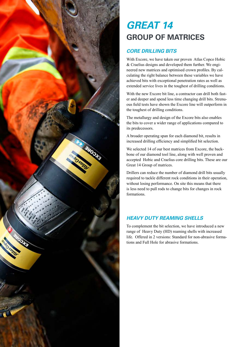

### *GREAT 14* **GROUP OF MATRICES**

#### *CORE DRILLING BITS*

With Excore, we have taken our proven Atlas Copco Hobic & Craelius designs and developed them further. We engineered new matrices and optimised crown profiles. By calculating the right balance between these variables we have achieved bits with exceptional penetration rates as well as extended service lives in the toughest of drilling conditions.

With the new Excore bit line, a contractor can drill both faster and deeper and spend less time changing drill bits. Strenuous field tests have shown the Excore line will outperform in the toughest of drilling conditions.

The metallurgy and design of the Excore bits also enables the bits to cover a wider range of applications compared to its predecessors.

A broader operating span for each diamond bit, results in increased drilling efficiency and simplified bit selection.

We selected 14 of our best matrices from Excore, the backbone of our diamond tool line, along with well proven and accepted Hobic and Craelius core drilling bits. These are our Great 14 Group of matrices.

Drillers can reduce the number of diamond drill bits usually required to tackle different rock conditions in their operation, without losing performance. On site this means that there is less need to pull rods to change bits for changes in rock formations.

#### *HEAVY DUTY REAMING SHELLS*

To complement the bit selection, we have introduced a new range of Heavy Duty (HD) reaming shells with increased life. Offered in 2 versions: Standard for non-abrasive formations and Full Hole for abrasive formations.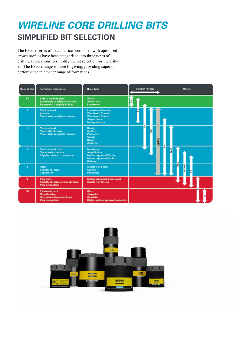### *WIRELINE CORE DRILLING BITS* **SIMPLIFIED BIT SELECTION**

The Excore series of new matrices combined with optimised crown profiles have been categorised into three types of drilling applications to simplify the bit selection for the driller. The Excore range is more forgiving, providing superior performance in a wider range of formations.

| <b>Rock Group</b> | <b>Formation Description</b>                                                                         | <b>Rock Type</b>                                                                                                         | <b>Abrasion Friendly</b><br><b>Matrix</b> |
|-------------------|------------------------------------------------------------------------------------------------------|--------------------------------------------------------------------------------------------------------------------------|-------------------------------------------|
| $1 - 4$           | Soft to medium hard<br><b>Exteremely to slightly abrasive</b><br><b>Extremely to slightly broken</b> | Shale<br><b>Sandstone</b><br>Limestone                                                                                   | $\frac{4}{2}$                             |
| 5                 | <b>Medium hard</b><br><b>Abrasive</b><br>Moderately to slightly broken                               | <b>Limestone Dolomite</b><br><b>Weathered Granite</b><br><b>Weathered Gneiss</b><br>Serpentinite<br>Metaperidotite       | $\frac{6}{4}$                             |
| 6                 | Medium hard<br>Moderatly abrasive<br>Moderately to slightly broken                                   | <b>Diorite</b><br>Gabbro<br>Peridotite<br><b>Gneiss</b><br>Basalt<br>Andesite                                            | G<br>TAC<br>AZURE                         |
| 7                 | Medium hard - hard<br>Moderately abrasive<br>Slightly broken to competent                            | <b>Metabasalt</b><br><b>Amphibolite</b><br><b>Metamorphosed Diorite</b><br><b>Metamorphosed Gabbro</b><br><b>Diabase</b> | MGE <sub>1</sub>                          |
| 8                 | Hard<br><b>Slightly abrasive</b><br><b>Competent</b>                                                 | Quartz rich Skarn<br><b>Granite</b><br>Pegmatite                                                                         | KS(S++)<br>$\frac{6}{16}$                 |
| ä                 | <b>Very hard</b><br>Slightly abrasive or non-abrasive<br><b>Very competent</b>                       | Metamorphosed grantic rock<br><b>Quartz rich Gneiss</b>                                                                  |                                           |
| 10                | <b>Exteremly hard</b><br>Non-abrasive<br><b>Fine grained to amorphous</b><br><b>Very competent</b>   | <b>Chert</b><br><b>Jasperite</b><br>Quartzite<br><b>Highly metamorphosed volcanics</b>                                   |                                           |

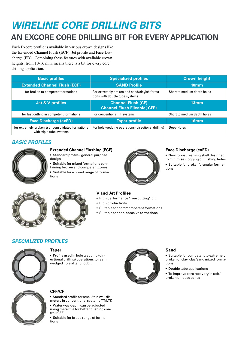## *WIRELINE CORE DRILLING BITS*

### **AN EXCORE CORE DRILLING BIT FOR EVERY APPLICATION**

Each Excore profile is available in various crown designs like the Extended Channel Flush (ECF), Jet profile and Face Discharge (FD). Combining these features with available crown heights, from 10-16 mm, means there is a bit for every core drilling application.

| <b>Basic profiles</b>                                                        | <b>Specialized profiles</b>                                                    | <b>Crown height</b>         |
|------------------------------------------------------------------------------|--------------------------------------------------------------------------------|-----------------------------|
| <b>Extended Channel Flush (ECF)</b>                                          | <b>SAND Profile</b>                                                            | 10 <sub>mm</sub>            |
| for broken to competent formations                                           | For extremely broken and sand/clayish forma-<br>tions with double tube systems | Short to medium depth holes |
| Jet & V profiles                                                             | <b>Channel Flush (CF)</b><br><b>Channel Flush Fileable( CFF)</b>               | 13mm                        |
| for fast cutting in competent formations                                     | For conventional TT systems                                                    | Short to medium depth holes |
| <b>Face Discharge (exFD)</b>                                                 | <b>Taper profile</b>                                                           | 16mm                        |
| for extremely broken & unconsolidated formations<br>with triple tube systems | For hole wedging operations (directional drilling)                             | Deep Holes                  |

#### *BASIC PROFILES*

![](_page_7_Picture_5.jpeg)

#### **Extended Channel Flushing (ECF)**

• Standard profile - general purpose design

• Suitable for mixed formations containing broken and competent zones • Suitable for a broad range of formations

![](_page_7_Picture_9.jpeg)

#### **Face Discharge (exFD)**

• New robust reaming shell designed

- to minimise clogging of flushing holes
- Suitable for broken/granular formations

![](_page_7_Picture_14.jpeg)

![](_page_7_Picture_15.jpeg)

#### **V and Jet Profiles**

- High performance "free cutting" bit
- High productivity
- Suitable for hard/competent formations
- Suitable for non-abrasive formations

#### *SPECIALIZED PROFILES*

![](_page_7_Picture_22.jpeg)

#### **Taper**

• Profile used in hole wedging (directional drilling) operations to ream wedged hole after pilot bit

![](_page_7_Picture_25.jpeg)

#### **Sand**

• Suitable for competent to extremely broken or clay, clay/sand mixed formations

• Double tube applications

• To improve core recovery in soft/ broken or loose zones

![](_page_7_Picture_30.jpeg)

#### **CFF/CF**

• Standard profile for small/thin wall diameters in conventional systems TT/LTK • Water way depth can be adjusted

using metal file for better flushing control (CFF)

• Suitable for broad range of formations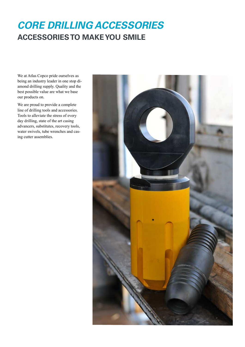### *CORE DRILLING ACCESSORIES* **ACCESSORIES TO MAKE YOU SMILE**

We at Atlas Copco pride ourselves as being an industry leader in one stop diamond drilling supply. Quality and the best possible value are what we base our products on.

We are proud to provide a complete line of drilling tools and accessories. Tools to alleviate the stress of every day drilling, state of the art casing advancers, substitutes, recovery tools, water swivels, tube wrenches and casing cutter assemblies.

![](_page_8_Picture_3.jpeg)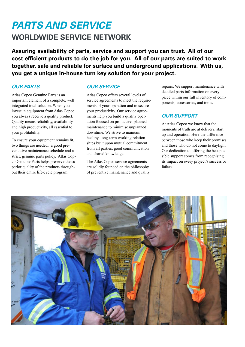### *PARTS AND SERVICE* **WORLDWIDE SERVICE NETWORK**

**Assuring availability of parts, service and support you can trust. All of our cost efficient products to do the job for you. All of our parts are suited to work together, safe and reliable for surface and underground applications. With us, you get a unique in-house turn key solution for your project.**

#### *OUR PARTS*

Atlas Copco Genuine Parts is an important element of a complete, well integrated total solution. When you invest in equipment from Atlas Copco, you always receive a quality product. Quality means reliability, availability and high productivity, all essential to your profitability.

To ensure your equipment remains fit, two things are needed: a good preventative maintenance schedule and a strict, genuine parts policy. Atlas Copco Genuine Parts helps preserve the superior quality of the products throughout their entire life-cycle program.

#### *OUR SERVICE*

Atlas Copco offers several levels of service agreements to meet the requirements of your operation and to secure your productivity. Our service agreements help you build a quality operation focused on pro-active, planned maintenance to minimise unplanned downtime. We strive to maintain healthy, long-term working relationships built upon mutual commitment from all parties, good communication and shared knowledge.

The Atlas Copco service agreements are solidly founded on the philosophy of preventive maintenance and quality repairs. We support maintenance with detailed parts information on every piece within our full inventory of components, accessories, and tools.

#### *OUR SUPPORT*

At Atlas Copco we know that the moments of truth are at delivery, start up and operation. Here the difference between those who keep their promises and those who do not come to daylight. Our dedication to offering the best possible support comes from recognising its impact on every project's success or failure.

![](_page_9_Picture_11.jpeg)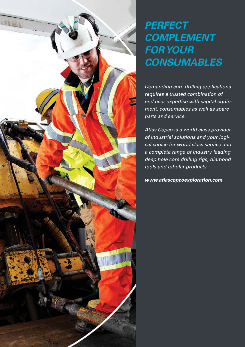## *PERFECT COMPLEMENT FOR YOUR CONSUMABLES*

*Demanding core drilling applications requires a trusted combination of end user expertise with capital equipment, consumables as well as spare parts and service.* 

*Atlas Copco is a world class provider of industrial solutions and your logical choice for world class service and a complete range of industry leading deep hole core drilling rigs, diamond tools and tubular products.*

*www.atlascopcoexploration.com*

![](_page_10_Picture_4.jpeg)